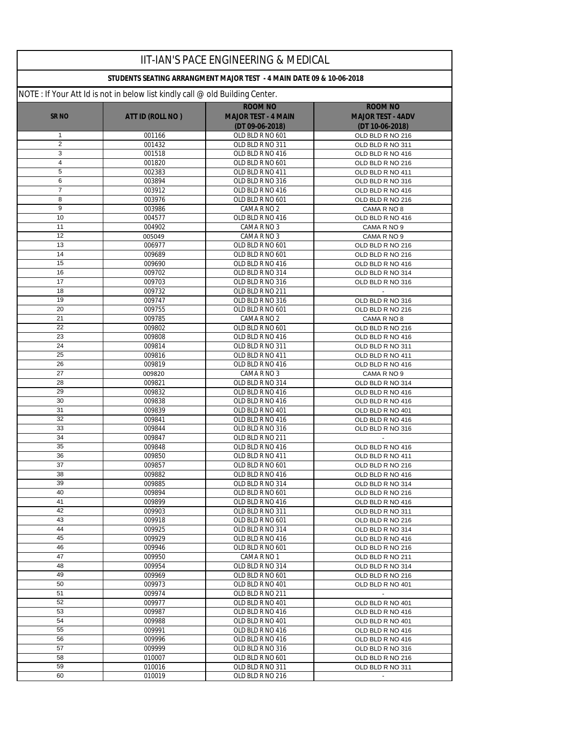|                     |                                                                               | <b>IIT-IAN'S PACE ENGINEERING &amp; MEDICAL</b>                      |                                      |
|---------------------|-------------------------------------------------------------------------------|----------------------------------------------------------------------|--------------------------------------|
|                     |                                                                               | STUDENTS SEATING ARRANGMENT MAJOR TEST - 4 MAIN DATE 09 & 10-06-2018 |                                      |
|                     | NOTE : If Your Att Id is not in below list kindly call @ old Building Center. |                                                                      |                                      |
|                     |                                                                               | <b>ROOM NO</b>                                                       | <b>ROOM NO</b>                       |
| SR <sub>NO</sub>    | ATT ID (ROLL NO)                                                              | <b>MAJOR TEST - 4 MAIN</b>                                           | <b>MAJOR TEST - 4ADV</b>             |
|                     |                                                                               | (DT 09-06-2018)                                                      | (DT 10-06-2018)                      |
| 1                   | 001166                                                                        | OLD BLD R NO 601                                                     | OLD BLD R NO 216                     |
| $\overline{2}$<br>3 | 001432<br>001518                                                              | OLD BLD R NO 311<br>OLD BLD R NO 416                                 | OLD BLD R NO 311<br>OLD BLD R NO 416 |
| 4                   | 001820                                                                        | OLD BLD R NO 601                                                     | OLD BLD R NO 216                     |
| 5                   | 002383                                                                        | OLD BLD R NO 411                                                     | OLD BLD R NO 411                     |
| 6                   | 003894                                                                        | OLD BLD R NO 316                                                     | OLD BLD R NO 316                     |
| $\overline{7}$      | 003912                                                                        | OLD BLD R NO 416                                                     | OLD BLD R NO 416                     |
| 8                   | 003976                                                                        | OLD BLD R NO 601                                                     | OLD BLD R NO 216                     |
| 9                   | 003986                                                                        | CAMA R NO 2                                                          | CAMA R NO 8                          |
| 10                  | 004577                                                                        | OLD BLD R NO 416                                                     | OLD BLD R NO 416                     |
| 11                  | 004902                                                                        | CAMA R NO 3                                                          | CAMA R NO 9                          |
| 12                  | 005049                                                                        | CAMA R NO 3                                                          | CAMA R NO 9                          |
| 13                  | 006977                                                                        | OLD BLD R NO 601                                                     | OLD BLD R NO 216                     |
| 14                  | 009689                                                                        | OLD BLD R NO 601                                                     | OLD BLD R NO 216                     |
| 15                  | 009690                                                                        | OLD BLD R NO 416                                                     | OLD BLD R NO 416                     |
| 16<br>17            | 009702                                                                        | OLD BLD R NO 314                                                     | OLD BLD R NO 314                     |
| 18                  | 009703<br>009732                                                              | OLD BLD R NO 316<br>OLD BLD R NO 211                                 | OLD BLD R NO 316<br>$\blacksquare$   |
| 19                  | 009747                                                                        | OLD BLD R NO 316                                                     | OLD BLD R NO 316                     |
| 20                  | 009755                                                                        | OLD BLD R NO 601                                                     | OLD BLD R NO 216                     |
| 21                  | 009785                                                                        | CAMA R NO 2                                                          | CAMA R NO 8                          |
| 22                  | 009802                                                                        | OLD BLD R NO 601                                                     | OLD BLD R NO 216                     |
| 23                  | 009808                                                                        | OLD BLD R NO 416                                                     | OLD BLD R NO 416                     |
| 24                  | 009814                                                                        | OLD BLD R NO 311                                                     | OLD BLD R NO 311                     |
| 25                  | 009816                                                                        | OLD BLD R NO 411                                                     | OLD BLD R NO 411                     |
| 26                  | 009819                                                                        | OLD BLD R NO 416                                                     | OLD BLD R NO 416                     |
| 27                  | 009820                                                                        | CAMA R NO 3                                                          | CAMA R NO 9                          |
| 28                  | 009821                                                                        | OLD BLD R NO 314                                                     | OLD BLD R NO 314                     |
| 29                  | 009832                                                                        | OLD BLD R NO 416                                                     | OLD BLD R NO 416                     |
| 30<br>31            | 009838<br>009839                                                              | OLD BLD R NO 416<br>OLD BLD R NO 401                                 | OLD BLD R NO 416<br>OLD BLD R NO 401 |
| 32                  | 009841                                                                        | OLD BLD R NO 416                                                     | OLD BLD R NO 416                     |
| 33                  | 009844                                                                        | OLD BLD R NO 316                                                     | OLD BLD R NO 316                     |
| 34                  | 009847                                                                        | OLD BLD R NO 211                                                     |                                      |
| 35                  | 009848                                                                        | OLD BLD R NO 416                                                     | OLD BLD R NO 416                     |
| 36                  | 009850                                                                        | OLD BLD R NO 411                                                     | OLD BLD R NO 411                     |
| $\overline{37}$     | 009857                                                                        | OLD BLD R NO 601                                                     | OLD BLD R NO 216                     |
| 38                  | 009882                                                                        | OLD BLD R NO 416                                                     | OLD BLD R NO 416                     |
| 39                  | 009885                                                                        | OLD BLD R NO 314                                                     | OLD BLD R NO 314                     |
| 40                  | 009894                                                                        | OLD BLD R NO 601                                                     | OLD BLD R NO 216                     |
| 41                  | 009899                                                                        | OLD BLD R NO 416                                                     | OLD BLD R NO 416                     |
| 42<br>43            | 009903<br>009918                                                              | OLD BLD R NO 311<br>OLD BLD R NO 601                                 | OLD BLD R NO 311<br>OLD BLD R NO 216 |
| 44                  | 009925                                                                        | OLD BLD R NO 314                                                     | OLD BLD R NO 314                     |
| 45                  | 009929                                                                        | OLD BLD R NO 416                                                     | OLD BLD R NO 416                     |
| 46                  | 009946                                                                        | OLD BLD R NO 601                                                     | OLD BLD R NO 216                     |
| 47                  | 009950                                                                        | CAMA R NO 1                                                          | OLD BLD R NO 211                     |
| 48                  | 009954                                                                        | OLD BLD R NO 314                                                     | OLD BLD R NO 314                     |
| 49                  | 009969                                                                        | OLD BLD R NO 601                                                     | OLD BLD R NO 216                     |
| 50                  | 009973                                                                        | OLD BLD R NO 401                                                     | OLD BLD R NO 401                     |
| 51                  | 009974                                                                        | OLD BLD R NO 211                                                     |                                      |
| 52                  | 009977                                                                        | OLD BLD R NO 401                                                     | OLD BLD R NO 401                     |
| 53                  | 009987                                                                        | OLD BLD R NO 416                                                     | OLD BLD R NO 416                     |
| 54                  | 009988                                                                        | OLD BLD R NO 401                                                     | OLD BLD R NO 401                     |
| 55                  | 009991                                                                        | OLD BLD R NO 416                                                     | OLD BLD R NO 416                     |
| 56<br>57            | 009996<br>009999                                                              | OLD BLD R NO 416                                                     | OLD BLD R NO 416                     |
| 58                  | 010007                                                                        | OLD BLD R NO 316<br>OLD BLD R NO 601                                 | OLD BLD R NO 316<br>OLD BLD R NO 216 |
| 59                  | 010016                                                                        | OLD BLD R NO 311                                                     | OLD BLD R NO 311                     |
| 60                  | 010019                                                                        | OLD BLD R NO 216                                                     |                                      |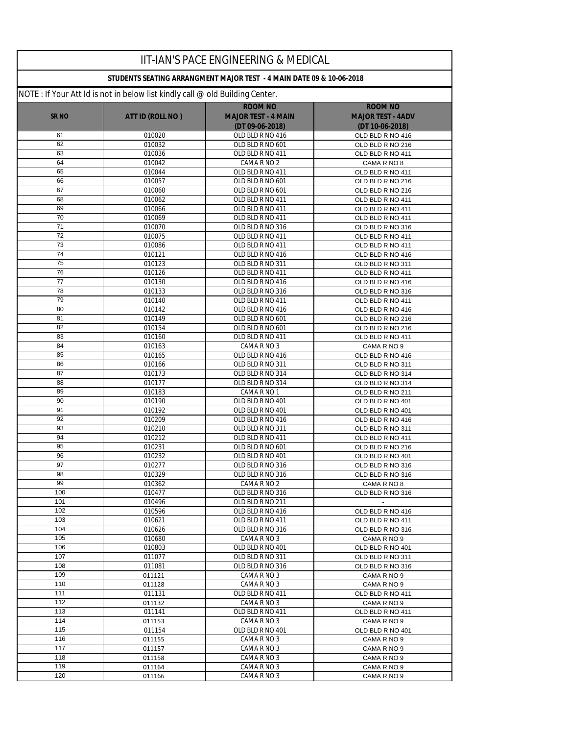|             |                                                                               | IIT-IAN'S PACE ENGINEERING & MEDICAL                                 |                                      |
|-------------|-------------------------------------------------------------------------------|----------------------------------------------------------------------|--------------------------------------|
|             |                                                                               | STUDENTS SEATING ARRANGMENT MAJOR TEST - 4 MAIN DATE 09 & 10-06-2018 |                                      |
|             | NOTE : If Your Att Id is not in below list kindly call @ old Building Center. |                                                                      |                                      |
|             |                                                                               | <b>ROOM NO</b>                                                       | <b>ROOM NO</b>                       |
| <b>SRNO</b> | ATT ID (ROLL NO)                                                              | <b>MAJOR TEST - 4 MAIN</b>                                           | <b>MAJOR TEST - 4ADV</b>             |
|             |                                                                               | (DT 09-06-2018)                                                      | (DT 10-06-2018)                      |
| 61          | 010020                                                                        | OLD BLD R NO 416                                                     | OLD BLD R NO 416                     |
| 62<br>63    | 010032<br>010036                                                              | OLD BLD R NO 601<br>OLD BLD R NO 411                                 | OLD BLD R NO 216<br>OLD BLD R NO 411 |
| 64          | 010042                                                                        | CAMA R NO 2                                                          | CAMA R NO 8                          |
| 65          | 010044                                                                        | OLD BLD R NO 411                                                     | OLD BLD R NO 411                     |
| 66          | 010057                                                                        | OLD BLD R NO 601                                                     | OLD BLD R NO 216                     |
| 67          | 010060                                                                        | OLD BLD R NO 601                                                     | OLD BLD R NO 216                     |
| 68          | 010062                                                                        | OLD BLD R NO 411                                                     | OLD BLD R NO 411                     |
| 69          | 010066                                                                        | OLD BLD R NO 411                                                     | OLD BLD R NO 411                     |
| 70          | 010069                                                                        | OLD BLD R NO 411                                                     | OLD BLD R NO 411                     |
| 71          | 010070                                                                        | OLD BLD R NO 316                                                     | OLD BLD R NO 316                     |
| 72<br>73    | 010075                                                                        | OLD BLD R NO 411                                                     | OLD BLD R NO 411                     |
| 74          | 010086<br>010121                                                              | OLD BLD R NO 411<br>OLD BLD R NO 416                                 | OLD BLD R NO 411<br>OLD BLD R NO 416 |
| 75          | 010123                                                                        | OLD BLD R NO 311                                                     | OLD BLD R NO 311                     |
| 76          | 010126                                                                        | OLD BLD R NO 411                                                     | OLD BLD R NO 411                     |
| 77          | 010130                                                                        | OLD BLD R NO 416                                                     | OLD BLD R NO 416                     |
| 78          | 010133                                                                        | OLD BLD R NO 316                                                     | OLD BLD R NO 316                     |
| 79          | 010140                                                                        | OLD BLD R NO 411                                                     | OLD BLD R NO 411                     |
| 80          | 010142                                                                        | OLD BLD R NO 416                                                     | OLD BLD R NO 416                     |
| 81          | 010149                                                                        | OLD BLD R NO 601                                                     | OLD BLD R NO 216                     |
| 82          | 010154                                                                        | OLD BLD R NO 601                                                     | OLD BLD R NO 216                     |
| 83          | 010160                                                                        | OLD BLD R NO 411                                                     | OLD BLD R NO 411                     |
| 84<br>85    | 010163<br>010165                                                              | CAMA R NO 3<br>OLD BLD R NO 416                                      | CAMA R NO 9                          |
| 86          | 010166                                                                        | OLD BLD R NO 311                                                     | OLD BLD R NO 416<br>OLD BLD R NO 311 |
| 87          | 010173                                                                        | OLD BLD R NO 314                                                     | OLD BLD R NO 314                     |
| 88          | 010177                                                                        | OLD BLD R NO 314                                                     | OLD BLD R NO 314                     |
| 89          | 010183                                                                        | CAMA R NO 1                                                          | OLD BLD R NO 211                     |
| 90          | 010190                                                                        | OLD BLD R NO 401                                                     | OLD BLD R NO 401                     |
| 91          | 010192                                                                        | OLD BLD R NO 401                                                     | OLD BLD R NO 401                     |
| 92          | 010209                                                                        | OLD BLD R NO 416                                                     | OLD BLD R NO 416                     |
| 93          | 010210                                                                        | OLD BLD R NO 311                                                     | OLD BLD R NO 311                     |
| 94          | 010212                                                                        | OLD BLD R NO 411                                                     | OLD BLD R NO 411                     |
| 95<br>96    | 010231<br>010232                                                              | OLD BLD R NO 601<br>OLD BLD R NO 401                                 | OLD BLD R NO 216<br>OLD BLD R NO 401 |
| 97          | 010277                                                                        | OLD BLD R NO 316                                                     | OLD BLD R NO 316                     |
| 98          | 010329                                                                        | OLD BLD R NO 316                                                     | OLD BLD R NO 316                     |
| 99          | 010362                                                                        | CAMA R NO 2                                                          | CAMA R NO 8                          |
| 100         | 010477                                                                        | OLD BLD R NO 316                                                     | OLD BLD R NO 316                     |
| 101         | 010496                                                                        | OLD BLD R NO 211                                                     | $\bullet$                            |
| 102         | 010596                                                                        | OLD BLD R NO 416                                                     | OLD BLD R NO 416                     |
| 103         | 010621                                                                        | OLD BLD R NO 411                                                     | OLD BLD R NO 411                     |
| 104         | 010626                                                                        | OLD BLD R NO 316                                                     | OLD BLD R NO 316                     |
| 105<br>106  | 010680<br>010803                                                              | CAMA R NO 3<br>OLD BLD R NO 401                                      | CAMA R NO 9<br>OLD BLD R NO 401      |
| 107         | 011077                                                                        | OLD BLD R NO 311                                                     | OLD BLD R NO 311                     |
| 108         | 011081                                                                        | OLD BLD R NO 316                                                     | OLD BLD R NO 316                     |
| 109         | 011121                                                                        | CAMA R NO 3                                                          | CAMA R NO 9                          |
| 110         | 011128                                                                        | CAMA R NO 3                                                          | CAMA R NO 9                          |
| 111         | 011131                                                                        | OLD BLD R NO 411                                                     | OLD BLD R NO 411                     |
| 112         | 011132                                                                        | CAMA R NO 3                                                          | CAMA R NO 9                          |
| 113         | 011141                                                                        | OLD BLD R NO 411                                                     | OLD BLD R NO 411                     |
| 114         | 011153                                                                        | CAMA R NO 3                                                          | CAMA R NO 9                          |
| 115         | 011154                                                                        | OLD BLD R NO 401                                                     | OLD BLD R NO 401                     |
| 116<br>117  | 011155                                                                        | CAMA R NO 3<br>CAMA R NO 3                                           | CAMA R NO 9                          |
| 118         | 011157<br>011158                                                              | CAMA R NO 3                                                          | CAMA R NO 9<br>CAMA R NO 9           |
| 119         | 011164                                                                        | CAMA R NO 3                                                          | CAMA R NO 9                          |
| 120         | 011166                                                                        | CAMA R NO 3                                                          | CAMA R NO 9                          |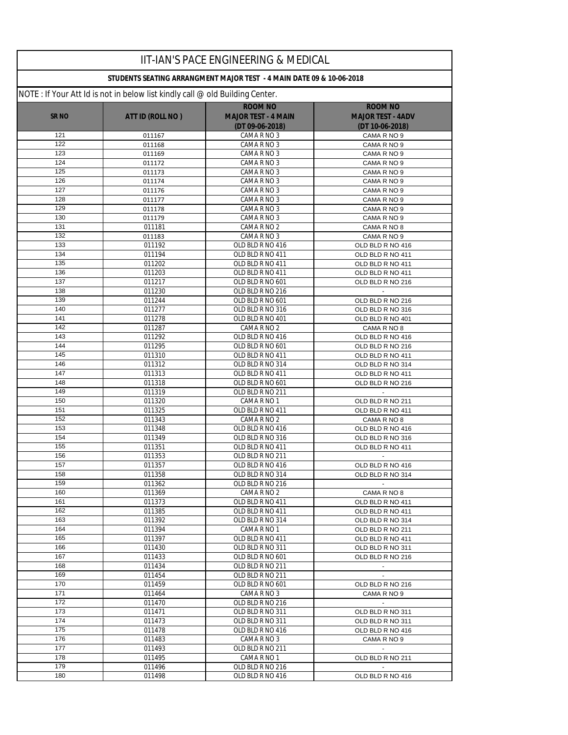|              |                                                                               | IIT-IAN'S PACE ENGINEERING & MEDICAL                                 |                                      |
|--------------|-------------------------------------------------------------------------------|----------------------------------------------------------------------|--------------------------------------|
|              |                                                                               | STUDENTS SEATING ARRANGMENT MAJOR TEST - 4 MAIN DATE 09 & 10-06-2018 |                                      |
|              | NOTE : If Your Att Id is not in below list kindly call @ old Building Center. |                                                                      |                                      |
|              |                                                                               | <b>ROOM NO</b>                                                       | <b>ROOM NO</b>                       |
| <b>SR NO</b> | ATT ID (ROLL NO)                                                              | <b>MAJOR TEST - 4 MAIN</b>                                           | <b>MAJOR TEST - 4ADV</b>             |
|              |                                                                               | (DT 09-06-2018)                                                      | (DT 10-06-2018)                      |
| 121<br>122   | 011167                                                                        | CAMA R NO 3                                                          | CAMA R NO 9                          |
| 123          | 011168<br>011169                                                              | CAMA R NO 3<br>CAMA R NO 3                                           | CAMA R NO 9<br>CAMA R NO 9           |
| 124          | 011172                                                                        | CAMA R NO 3                                                          | CAMA R NO 9                          |
| 125          | 011173                                                                        | CAMA R NO 3                                                          | CAMA R NO 9                          |
| 126          | 011174                                                                        | CAMA R NO 3                                                          | CAMA R NO 9                          |
| 127          | 011176                                                                        | CAMA R NO 3                                                          | CAMA R NO 9                          |
| 128          | 011177                                                                        | CAMA R NO 3                                                          | CAMA R NO 9                          |
| 129          | 011178                                                                        | CAMA R NO 3                                                          | CAMA R NO 9                          |
| 130          | 011179                                                                        | CAMA R NO 3                                                          | CAMA R NO 9                          |
| 131          | 011181                                                                        | CAMA R NO 2                                                          | CAMA R NO 8                          |
| 132<br>133   | 011183<br>011192                                                              | CAMA R NO 3<br>OLD BLD R NO 416                                      | CAMA R NO 9                          |
| 134          | 011194                                                                        | OLD BLD R NO 411                                                     | OLD BLD R NO 416<br>OLD BLD R NO 411 |
| 135          | 011202                                                                        | OLD BLD R NO 411                                                     | OLD BLD R NO 411                     |
| 136          | 011203                                                                        | OLD BLD R NO 411                                                     | OLD BLD R NO 411                     |
| 137          | 011217                                                                        | OLD BLD R NO 601                                                     | OLD BLD R NO 216                     |
| 138          | 011230                                                                        | OLD BLD R NO 216                                                     | $\mathcal{L}$                        |
| 139          | 011244                                                                        | OLD BLD R NO 601                                                     | OLD BLD R NO 216                     |
| 140          | 011277                                                                        | OLD BLD R NO 316                                                     | OLD BLD R NO 316                     |
| 141          | 011278                                                                        | OLD BLD R NO 401                                                     | OLD BLD R NO 401                     |
| 142          | 011287                                                                        | CAMA R NO 2                                                          | CAMA R NO 8                          |
| 143<br>144   | 011292                                                                        | OLD BLD R NO 416                                                     | OLD BLD R NO 416                     |
| 145          | 011295<br>011310                                                              | OLD BLD R NO 601<br>OLD BLD R NO 411                                 | OLD BLD R NO 216<br>OLD BLD R NO 411 |
| 146          | 011312                                                                        | OLD BLD R NO 314                                                     | OLD BLD R NO 314                     |
| 147          | 011313                                                                        | OLD BLD R NO 411                                                     | OLD BLD R NO 411                     |
| 148          | 011318                                                                        | OLD BLD R NO 601                                                     | OLD BLD R NO 216                     |
| 149          | 011319                                                                        | OLD BLD R NO 211                                                     |                                      |
| 150          | 011320                                                                        | CAMA R NO 1                                                          | OLD BLD R NO 211                     |
| 151          | 011325                                                                        | OLD BLD R NO 411                                                     | OLD BLD R NO 411                     |
| 152          | 011343                                                                        | CAMA R NO 2                                                          | CAMA R NO 8                          |
| 153          | 011348                                                                        | OLD BLD R NO 416                                                     | OLD BLD R NO 416                     |
| 154<br>155   | 011349<br>011351                                                              | OLD BLD R NO 316<br>OLD BLD R NO 411                                 | OLD BLD R NO 316                     |
| 156          | 011353                                                                        | OLD BLD R NO 211                                                     | OLD BLD R NO 411                     |
| 157          | 011357                                                                        | OLD BLD R NO 416                                                     | OLD BLD R NO 416                     |
| 158          | 011358                                                                        | OLD BLD R NO 314                                                     | OLD BLD R NO 314                     |
| 159          | 011362                                                                        | OLD BLD R NO 216                                                     | $\sim$                               |
| 160          | 011369                                                                        | CAMA R NO 2                                                          | CAMA R NO 8                          |
| 161          | 011373                                                                        | OLD BLD R NO 411                                                     | OLD BLD R NO 411                     |
| 162          | 011385                                                                        | OLD BLD R NO 411                                                     | OLD BLD R NO 411                     |
| 163          | 011392                                                                        | OLD BLD R NO 314                                                     | OLD BLD R NO 314                     |
| 164<br>165   | 011394                                                                        | CAMA R NO 1                                                          | OLD BLD R NO 211                     |
| 166          | 011397<br>011430                                                              | OLD BLD R NO 411<br>OLD BLD R NO 311                                 | OLD BLD R NO 411<br>OLD BLD R NO 311 |
| 167          | 011433                                                                        | OLD BLD R NO 601                                                     | OLD BLD R NO 216                     |
| 168          | 011434                                                                        | OLD BLD R NO 211                                                     | $\sim$                               |
| 169          | 011454                                                                        | OLD BLD R NO 211                                                     | $\sim$                               |
| 170          | 011459                                                                        | OLD BLD R NO 601                                                     | OLD BLD R NO 216                     |
| 171          | 011464                                                                        | CAMA R NO 3                                                          | CAMA R NO 9                          |
| 172          | 011470                                                                        | OLD BLD R NO 216                                                     | $\sim$                               |
| 173          | 011471                                                                        | OLD BLD R NO 311                                                     | OLD BLD R NO 311                     |
| 174          | 011473                                                                        | OLD BLD R NO 311                                                     | OLD BLD R NO 311                     |
| 175<br>176   | 011478<br>011483                                                              | OLD BLD R NO 416<br>CAMA R NO 3                                      | OLD BLD R NO 416                     |
| 177          | 011493                                                                        | OLD BLD R NO 211                                                     | CAMA R NO 9                          |
| 178          | 011495                                                                        | CAMA R NO 1                                                          | OLD BLD R NO 211                     |
| 179          | 011496                                                                        | OLD BLD R NO 216                                                     | $\sim$                               |
| 180          | 011498                                                                        | OLD BLD R NO 416                                                     | OLD BLD R NO 416                     |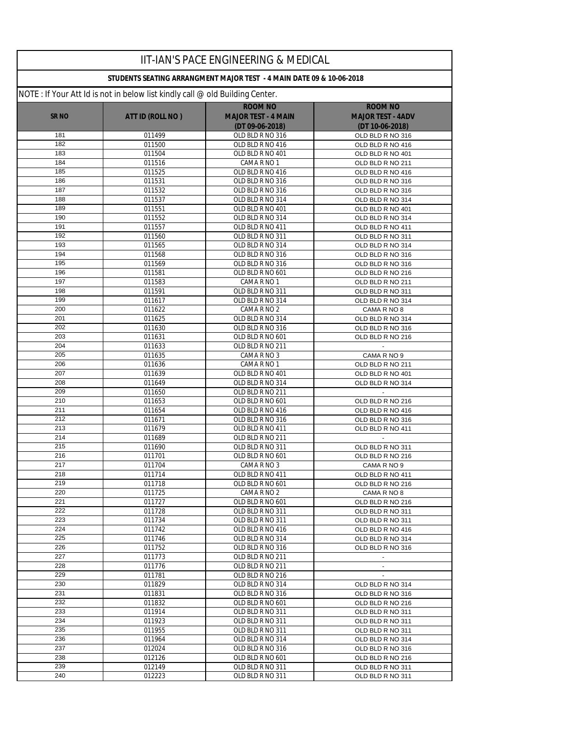|                  |                                                                              | <b>IIT-IAN'S PACE ENGINEERING &amp; MEDICAL</b>                      |                                      |
|------------------|------------------------------------------------------------------------------|----------------------------------------------------------------------|--------------------------------------|
|                  |                                                                              | STUDENTS SEATING ARRANGMENT MAJOR TEST - 4 MAIN DATE 09 & 10-06-2018 |                                      |
|                  | NOTE: If Your Att Id is not in below list kindly call @ old Building Center. |                                                                      |                                      |
|                  |                                                                              | <b>ROOM NO</b>                                                       | <b>ROOM NO</b>                       |
| SR <sub>NO</sub> | ATT ID (ROLL NO)                                                             | <b>MAJOR TEST - 4 MAIN</b>                                           | <b>MAJOR TEST - 4ADV</b>             |
|                  |                                                                              | $(DT 09-06-2018)$                                                    | (DT 10-06-2018)                      |
| 181              | 011499                                                                       | OLD BLD R NO 316                                                     | OLD BLD R NO 316                     |
| 182              | 011500                                                                       | OLD BLD R NO 416                                                     | OLD BLD R NO 416                     |
| 183              | 011504                                                                       | OLD BLD R NO 401                                                     | OLD BLD R NO 401                     |
| 184              | 011516                                                                       | CAMA R NO 1                                                          | OLD BLD R NO 211                     |
| 185              | 011525                                                                       | OLD BLD R NO 416                                                     | OLD BLD R NO 416                     |
| 186              | 011531                                                                       | OLD BLD R NO 316                                                     | OLD BLD R NO 316                     |
| 187              | 011532                                                                       | OLD BLD R NO 316                                                     | OLD BLD R NO 316                     |
| 188              | 011537                                                                       | OLD BLD R NO 314                                                     | OLD BLD R NO 314                     |
| 189<br>190       | 011551<br>011552                                                             | OLD BLD R NO 401<br>OLD BLD R NO 314                                 | OLD BLD R NO 401                     |
| 191              | 011557                                                                       | OLD BLD R NO 411                                                     | OLD BLD R NO 314                     |
| 192              | 011560                                                                       | OLD BLD R NO 311                                                     | OLD BLD R NO 411<br>OLD BLD R NO 311 |
| 193              | 011565                                                                       | OLD BLD R NO 314                                                     | OLD BLD R NO 314                     |
| 194              | 011568                                                                       | OLD BLD R NO 316                                                     | OLD BLD R NO 316                     |
| 195              | 011569                                                                       | OLD BLD R NO 316                                                     | OLD BLD R NO 316                     |
| 196              | 011581                                                                       | OLD BLD R NO 601                                                     | OLD BLD R NO 216                     |
| 197              | 011583                                                                       | CAMA R NO 1                                                          | OLD BLD R NO 211                     |
| 198              | 011591                                                                       | OLD BLD R NO 311                                                     | OLD BLD R NO 311                     |
| 199              | 011617                                                                       | OLD BLD R NO 314                                                     | OLD BLD R NO 314                     |
| 200              | 011622                                                                       | CAMA R NO 2                                                          | CAMA R NO 8                          |
| 201              | 011625                                                                       | OLD BLD R NO 314                                                     | OLD BLD R NO 314                     |
| 202              | 011630                                                                       | OLD BLD R NO 316                                                     | OLD BLD R NO 316                     |
| 203              | 011631                                                                       | OLD BLD R NO 601                                                     | OLD BLD R NO 216                     |
| 204              | 011633                                                                       | OLD BLD R NO 211                                                     | $\blacksquare$                       |
| 205              | 011635                                                                       | CAMA R NO 3                                                          | CAMA R NO 9                          |
| 206              | 011636                                                                       | CAMA R NO 1                                                          | OLD BLD R NO 211                     |
| 207              | 011639                                                                       | OLD BLD R NO 401                                                     | OLD BLD R NO 401                     |
| 208              | 011649                                                                       | OLD BLD R NO 314                                                     | OLD BLD R NO 314                     |
| 209<br>210       | 011650                                                                       | OLD BLD R NO 211                                                     |                                      |
| 211              | 011653<br>011654                                                             | OLD BLD R NO 601<br>OLD BLD R NO 416                                 | OLD BLD R NO 216<br>OLD BLD R NO 416 |
| 212              | 011671                                                                       | OLD BLD R NO 316                                                     | OLD BLD R NO 316                     |
| 213              | 011679                                                                       | OLD BLD R NO 411                                                     | OLD BLD R NO 411                     |
| 214              | 011689                                                                       | OLD BLD R NO 211                                                     |                                      |
| 215              | 011690                                                                       | OLD BLD R NO 311                                                     | OLD BLD R NO 311                     |
| 216              | 011701                                                                       | OLD BLD R NO 601                                                     | OLD BLD R NO 216                     |
| 217              | 011704                                                                       | CAMA R NO 3                                                          | CAMA R NO 9                          |
| 218              | 011714                                                                       | OLD BLD R NO 411                                                     | OLD BLD R NO 411                     |
| 219              | 011718                                                                       | OLD BLD R NO 601                                                     | OLD BLD R NO 216                     |
| 220              | 011725                                                                       | CAMA R NO 2                                                          | CAMA R NO 8                          |
| 221              | 011727                                                                       | OLD BLD R NO 601                                                     | OLD BLD R NO 216                     |
| 222              | 011728                                                                       | OLD BLD R NO 311                                                     | OLD BLD R NO 311                     |
| 223              | 011734                                                                       | OLD BLD R NO 311                                                     | OLD BLD R NO 311                     |
| 224              | 011742                                                                       | OLD BLD R NO 416                                                     | OLD BLD R NO 416                     |
| 225              | 011746                                                                       | OLD BLD R NO 314                                                     | OLD BLD R NO 314                     |
| 226              | 011752                                                                       | OLD BLD R NO 316                                                     | OLD BLD R NO 316                     |
| 227<br>228       | 011773                                                                       | OLD BLD R NO 211                                                     |                                      |
| 229              | 011776<br>011781                                                             | OLD BLD R NO 211<br>OLD BLD R NO 216                                 |                                      |
| 230              | 011829                                                                       | OLD BLD R NO 314                                                     | OLD BLD R NO 314                     |
| 231              | 011831                                                                       | OLD BLD R NO 316                                                     | OLD BLD R NO 316                     |
| 232              | 011832                                                                       | OLD BLD R NO 601                                                     | OLD BLD R NO 216                     |
| 233              | 011914                                                                       | OLD BLD R NO 311                                                     | OLD BLD R NO 311                     |
| 234              | 011923                                                                       | OLD BLD R NO 311                                                     | OLD BLD R NO 311                     |
| 235              | 011955                                                                       | OLD BLD R NO 311                                                     | OLD BLD R NO 311                     |
| 236              | 011964                                                                       | OLD BLD R NO 314                                                     | OLD BLD R NO 314                     |
| 237              | 012024                                                                       | OLD BLD R NO 316                                                     | OLD BLD R NO 316                     |
| 238              | 012126                                                                       | OLD BLD R NO 601                                                     | OLD BLD R NO 216                     |
| 239              | 012149                                                                       | OLD BLD R NO 311                                                     | OLD BLD R NO 311                     |
| 240              | 012223                                                                       | OLD BLD R NO 311                                                     | OLD BLD R NO 311                     |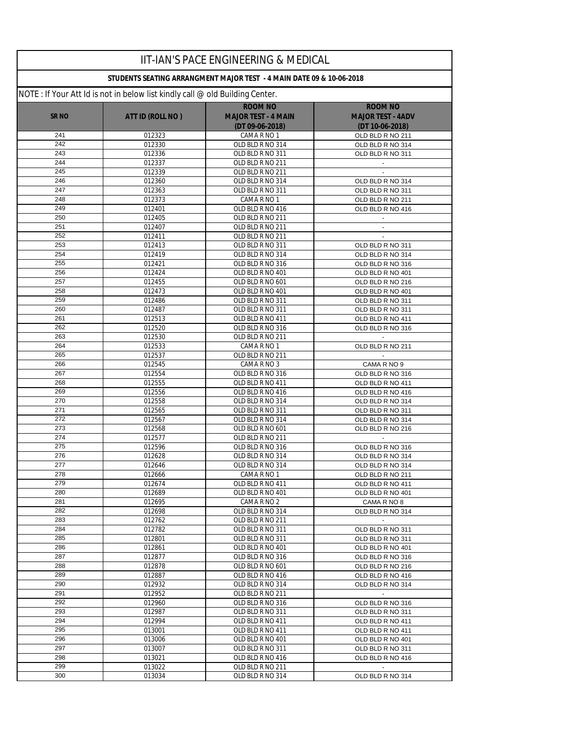|                  |                                                                              | IIT-IAN'S PACE ENGINEERING & MEDICAL                                 |                                      |
|------------------|------------------------------------------------------------------------------|----------------------------------------------------------------------|--------------------------------------|
|                  |                                                                              | STUDENTS SEATING ARRANGMENT MAJOR TEST - 4 MAIN DATE 09 & 10-06-2018 |                                      |
|                  | NOTE: If Your Att Id is not in below list kindly call @ old Building Center. |                                                                      |                                      |
|                  |                                                                              | <b>ROOM NO</b>                                                       | <b>ROOM NO</b>                       |
| SR <sub>NO</sub> | ATT ID (ROLL NO)                                                             | <b>MAJOR TEST - 4 MAIN</b>                                           | <b>MAJOR TEST - 4ADV</b>             |
|                  |                                                                              | (DT 09-06-2018)                                                      | (DT 10-06-2018)                      |
| 241<br>242       | 012323<br>012330                                                             | CAMA R NO 1<br>OLD BLD R NO 314                                      | OLD BLD R NO 211<br>OLD BLD R NO 314 |
| 243              | 012336                                                                       | OLD BLD R NO 311                                                     | OLD BLD R NO 311                     |
| 244              | 012337                                                                       | OLD BLD R NO 211                                                     | $\overline{\phantom{a}}$             |
| 245              | 012339                                                                       | OLD BLD R NO 211                                                     |                                      |
| 246              | 012360                                                                       | OLD BLD R NO 314                                                     | OLD BLD R NO 314                     |
| 247              | 012363                                                                       | OLD BLD R NO 311                                                     | OLD BLD R NO 311                     |
| 248              | 012373                                                                       | CAMA R NO 1                                                          | OLD BLD R NO 211                     |
| 249              | 012401                                                                       | OLD BLD R NO 416                                                     | OLD BLD R NO 416                     |
| 250              | 012405                                                                       | OLD BLD R NO 211                                                     |                                      |
| 251<br>252       | 012407                                                                       | OLD BLD R NO 211<br>OLD BLD R NO 211                                 | $\mathbb{Z}^{\mathbb{Z}}$            |
| 253              | 012411<br>012413                                                             | OLD BLD R NO 311                                                     | OLD BLD R NO 311                     |
| 254              | 012419                                                                       | OLD BLD R NO 314                                                     | OLD BLD R NO 314                     |
| 255              | 012421                                                                       | OLD BLD R NO 316                                                     | OLD BLD R NO 316                     |
| 256              | 012424                                                                       | OLD BLD R NO 401                                                     | OLD BLD R NO 401                     |
| 257              | 012455                                                                       | OLD BLD R NO 601                                                     | OLD BLD R NO 216                     |
| 258              | 012473                                                                       | OLD BLD R NO 401                                                     | OLD BLD R NO 401                     |
| 259              | 012486                                                                       | OLD BLD R NO 311                                                     | OLD BLD R NO 311                     |
| 260              | 012487                                                                       | OLD BLD R NO 311                                                     | OLD BLD R NO 311                     |
| 261              | 012513                                                                       | OLD BLD R NO 411                                                     | OLD BLD R NO 411                     |
| 262              | 012520                                                                       | OLD BLD R NO 316                                                     | OLD BLD R NO 316                     |
| 263<br>264       | 012530                                                                       | OLD BLD R NO 211<br>CAMA R NO 1                                      |                                      |
| 265              | 012533<br>012537                                                             | OLD BLD R NO 211                                                     | OLD BLD R NO 211                     |
| 266              | 012545                                                                       | CAMA R NO 3                                                          | CAMA R NO 9                          |
| 267              | 012554                                                                       | OLD BLD R NO 316                                                     | OLD BLD R NO 316                     |
| 268              | 012555                                                                       | OLD BLD R NO 411                                                     | OLD BLD R NO 411                     |
| 269              | 012556                                                                       | OLD BLD R NO 416                                                     | OLD BLD R NO 416                     |
| 270              | 012558                                                                       | OLD BLD R NO 314                                                     | OLD BLD R NO 314                     |
| 271              | 012565                                                                       | OLD BLD R NO 311                                                     | OLD BLD R NO 311                     |
| 272              | 012567                                                                       | OLD BLD R NO 314                                                     | OLD BLD R NO 314                     |
| 273<br>274       | 012568                                                                       | OLD BLD R NO 601                                                     | OLD BLD R NO 216                     |
| 275              | 012577<br>012596                                                             | OLD BLD R NO 211<br>OLD BLD R NO 316                                 | OLD BLD R NO 316                     |
| 276              | 012628                                                                       | OLD BLD R NO 314                                                     | OLD BLD R NO 314                     |
| 277              | 012646                                                                       | OLD BLD R NO 314                                                     | OLD BLD R NO 314                     |
| 278              | 012666                                                                       | CAMA R NO 1                                                          | OLD BLD R NO 211                     |
| 279              | 012674                                                                       | OLD BLD R NO 411                                                     | OLD BLD R NO 411                     |
| 280              | 012689                                                                       | OLD BLD R NO 401                                                     | OLD BLD R NO 401                     |
| 281              | 012695                                                                       | CAMA R NO 2                                                          | CAMA R NO 8                          |
| 282              | 012698                                                                       | OLD BLD R NO 314                                                     | OLD BLD R NO 314                     |
| 283              | 012762                                                                       | OLD BLD R NO 211                                                     | $\sim$                               |
| 284<br>285       | 012782                                                                       | OLD BLD R NO 311                                                     | OLD BLD R NO 311                     |
| 286              | 012801<br>012861                                                             | OLD BLD R NO 311<br>OLD BLD R NO 401                                 | OLD BLD R NO 311<br>OLD BLD R NO 401 |
| 287              | 012877                                                                       | OLD BLD R NO 316                                                     | OLD BLD R NO 316                     |
| 288              | 012878                                                                       | OLD BLD R NO 601                                                     | OLD BLD R NO 216                     |
| 289              | 012887                                                                       | OLD BLD R NO 416                                                     | OLD BLD R NO 416                     |
| 290              | 012932                                                                       | OLD BLD R NO 314                                                     | OLD BLD R NO 314                     |
| 291              | 012952                                                                       | OLD BLD R NO 211                                                     |                                      |
| 292              | 012960                                                                       | OLD BLD R NO 316                                                     | OLD BLD R NO 316                     |
| 293              | 012987                                                                       | OLD BLD R NO 311                                                     | OLD BLD R NO 311                     |
| 294              | 012994                                                                       | OLD BLD R NO 411                                                     | OLD BLD R NO 411                     |
| 295              | 013001                                                                       | OLD BLD R NO 411                                                     | OLD BLD R NO 411                     |
| 296<br>297       | 013006<br>013007                                                             | OLD BLD R NO 401<br>OLD BLD R NO 311                                 | OLD BLD R NO 401<br>OLD BLD R NO 311 |
| 298              | 013021                                                                       | OLD BLD R NO 416                                                     | OLD BLD R NO 416                     |
| 299              | 013022                                                                       | OLD BLD R NO 211                                                     | $\sim$                               |
| 300              | 013034                                                                       | OLD BLD R NO 314                                                     | OLD BLD R NO 314                     |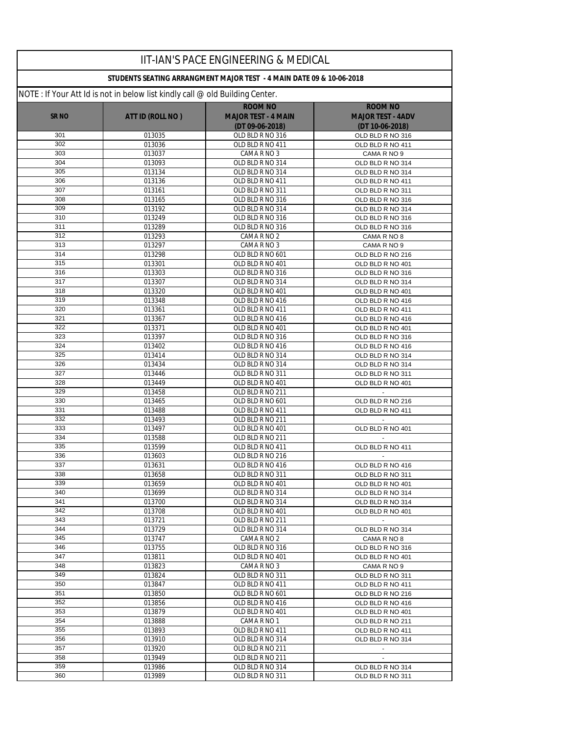|                  |                                                                              | <b>IIT-IAN'S PACE ENGINEERING &amp; MEDICAL</b>                      |                                      |
|------------------|------------------------------------------------------------------------------|----------------------------------------------------------------------|--------------------------------------|
|                  |                                                                              | STUDENTS SEATING ARRANGMENT MAJOR TEST - 4 MAIN DATE 09 & 10-06-2018 |                                      |
|                  | NOTE: If Your Att Id is not in below list kindly call @ old Building Center. |                                                                      |                                      |
|                  |                                                                              | <b>ROOM NO</b>                                                       | <b>ROOM NO</b>                       |
| <b>SR NO</b>     | ATT ID (ROLL NO)                                                             | <b>MAJOR TEST - 4 MAIN</b>                                           | <b>MAJOR TEST - 4ADV</b>             |
|                  |                                                                              | (DT 09-06-2018)                                                      | (DT 10-06-2018)                      |
| 301              | 013035                                                                       | OLD BLD R NO 316                                                     | OLD BLD R NO 316                     |
| 302              | 013036                                                                       | OLD BLD R NO 411                                                     | OLD BLD R NO 411                     |
| 303<br>304       | 013037                                                                       | CAMA R NO 3                                                          | CAMA R NO 9                          |
| 305              | 013093<br>013134                                                             | OLD BLD R NO 314<br>OLD BLD R NO 314                                 | OLD BLD R NO 314<br>OLD BLD R NO 314 |
| 306              | 013136                                                                       | OLD BLD R NO 411                                                     | OLD BLD R NO 411                     |
| 307              | 013161                                                                       | OLD BLD R NO 311                                                     | OLD BLD R NO 311                     |
| 308              | 013165                                                                       | OLD BLD R NO 316                                                     | OLD BLD R NO 316                     |
| 309              | 013192                                                                       | OLD BLD R NO 314                                                     | OLD BLD R NO 314                     |
| 310              | 013249                                                                       | OLD BLD R NO 316                                                     | OLD BLD R NO 316                     |
| 311              | 013289                                                                       | OLD BLD R NO 316                                                     | OLD BLD R NO 316                     |
| 312              | 013293                                                                       | CAMA R NO 2                                                          | CAMA R NO 8                          |
| 313              | 013297                                                                       | CAMA R NO 3                                                          | CAMA R NO 9                          |
| 314              | 013298                                                                       | OLD BLD R NO 601                                                     | OLD BLD R NO 216                     |
| 315              | 013301                                                                       | OLD BLD R NO 401                                                     | OLD BLD R NO 401                     |
| 316<br>317       | 013303                                                                       | OLD BLD R NO 316                                                     | OLD BLD R NO 316                     |
| 318              | 013307<br>013320                                                             | OLD BLD R NO 314<br>OLD BLD R NO 401                                 | OLD BLD R NO 314<br>OLD BLD R NO 401 |
| 319              | 013348                                                                       | OLD BLD R NO 416                                                     | OLD BLD R NO 416                     |
| 320              | 013361                                                                       | OLD BLD R NO 411                                                     | OLD BLD R NO 411                     |
| 321              | 013367                                                                       | OLD BLD R NO 416                                                     | OLD BLD R NO 416                     |
| 322              | 013371                                                                       | OLD BLD R NO 401                                                     | OLD BLD R NO 401                     |
| 323              | 013397                                                                       | OLD BLD R NO 316                                                     | OLD BLD R NO 316                     |
| 324              | 013402                                                                       | OLD BLD R NO 416                                                     | OLD BLD R NO 416                     |
| 325              | 013414                                                                       | OLD BLD R NO 314                                                     | OLD BLD R NO 314                     |
| 326              | 013434                                                                       | OLD BLD R NO 314                                                     | OLD BLD R NO 314                     |
| 327              | 013446                                                                       | OLD BLD R NO 311                                                     | OLD BLD R NO 311                     |
| 328              | 013449                                                                       | OLD BLD R NO 401                                                     | OLD BLD R NO 401                     |
| 329              | 013458                                                                       | OLD BLD R NO 211                                                     |                                      |
| 330<br>331       | 013465<br>013488                                                             | OLD BLD R NO 601<br>OLD BLD R NO 411                                 | OLD BLD R NO 216<br>OLD BLD R NO 411 |
| 332              | 013493                                                                       | OLD BLD R NO 211                                                     | $\mathbf{r}$                         |
| 333              | 013497                                                                       | OLD BLD R NO 401                                                     | OLD BLD R NO 401                     |
| 334              | 013588                                                                       | OLD BLD R NO 211                                                     |                                      |
| 335              | 013599                                                                       | OLD BLD R NO 411                                                     | OLD BLD R NO 411                     |
| 336              | 013603                                                                       | OLD BLD R NO 216                                                     |                                      |
| $\overline{337}$ | 013631                                                                       | OLD BLD R NO 416                                                     | OLD BLD R NO 416                     |
| 338              | 013658                                                                       | OLD BLD R NO 311                                                     | OLD BLD R NO 311                     |
| 339              | 013659                                                                       | OLD BLD R NO 401                                                     | OLD BLD R NO 401                     |
| 340              | 013699                                                                       | OLD BLD R NO 314                                                     | OLD BLD R NO 314                     |
| 341              | 013700                                                                       | OLD BLD R NO 314                                                     | OLD BLD R NO 314                     |
| 342<br>343       | 013708<br>013721                                                             | OLD BLD R NO 401<br>OLD BLD R NO 211                                 | OLD BLD R NO 401                     |
| 344              | 013729                                                                       | OLD BLD R NO 314                                                     | OLD BLD R NO 314                     |
| 345              | 013747                                                                       | CAMA R NO 2                                                          | CAMA R NO 8                          |
| 346              | 013755                                                                       | OLD BLD R NO 316                                                     | OLD BLD R NO 316                     |
| 347              | 013811                                                                       | OLD BLD R NO 401                                                     | OLD BLD R NO 401                     |
| 348              | 013823                                                                       | CAMA R NO 3                                                          | CAMA R NO 9                          |
| 349              | 013824                                                                       | OLD BLD R NO 311                                                     | OLD BLD R NO 311                     |
| 350              | 013847                                                                       | OLD BLD R NO 411                                                     | OLD BLD R NO 411                     |
| 351              | 013850                                                                       | OLD BLD R NO 601                                                     | OLD BLD R NO 216                     |
| 352              | 013856                                                                       | OLD BLD R NO 416                                                     | OLD BLD R NO 416                     |
| 353              | 013879                                                                       | OLD BLD R NO 401                                                     | OLD BLD R NO 401                     |
| 354              | 013888                                                                       | CAMA R NO 1                                                          | OLD BLD R NO 211                     |
| 355              | 013893                                                                       | OLD BLD R NO 411                                                     | OLD BLD R NO 411                     |
| 356<br>357       | 013910<br>013920                                                             | OLD BLD R NO 314<br>OLD BLD R NO 211                                 | OLD BLD R NO 314                     |
| 358              | 013949                                                                       | OLD BLD R NO 211                                                     |                                      |
| 359              | 013986                                                                       | OLD BLD R NO 314                                                     | OLD BLD R NO 314                     |
| 360              | 013989                                                                       | OLD BLD R NO 311                                                     | OLD BLD R NO 311                     |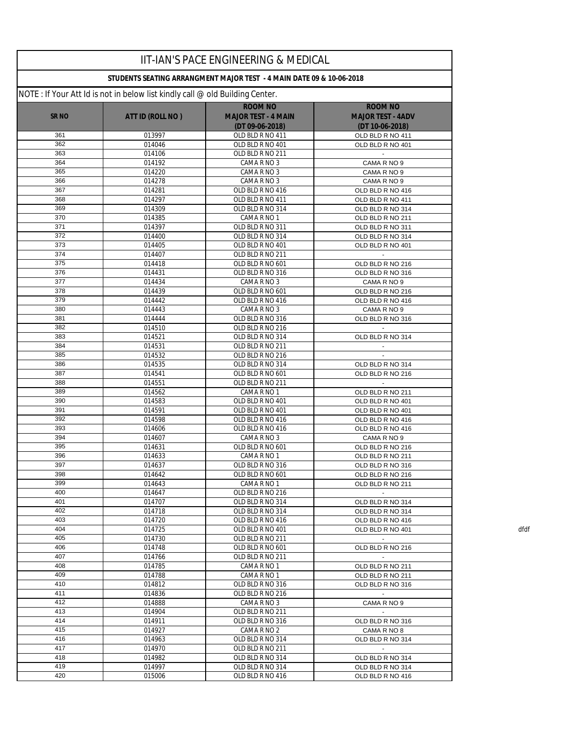|              |                                                                               | IIT-IAN'S PACE ENGINEERING & MEDICAL                                 |                                            |      |
|--------------|-------------------------------------------------------------------------------|----------------------------------------------------------------------|--------------------------------------------|------|
|              |                                                                               | STUDENTS SEATING ARRANGMENT MAJOR TEST - 4 MAIN DATE 09 & 10-06-2018 |                                            |      |
|              | NOTE : If Your Att Id is not in below list kindly call @ old Building Center. |                                                                      |                                            |      |
| <b>SR NO</b> | ATT ID (ROLL NO)                                                              | <b>ROOM NO</b><br><b>MAJOR TEST - 4 MAIN</b>                         | <b>ROOM NO</b><br><b>MAJOR TEST - 4ADV</b> |      |
|              |                                                                               | $(DT 09-06-2018)$                                                    | (DT 10-06-2018)                            |      |
| 361          | 013997                                                                        | OLD BLD R NO 411                                                     | OLD BLD R NO 411                           |      |
| 362<br>363   | 014046<br>014106                                                              | OLD BLD R NO 401<br>OLD BLD R NO 211                                 | OLD BLD R NO 401                           |      |
| 364          | 014192                                                                        | CAMA R NO 3                                                          | CAMA R NO 9                                |      |
| 365          | 014220                                                                        | CAMA R NO 3                                                          | CAMA R NO 9                                |      |
| 366          | 014278                                                                        | CAMA R NO 3                                                          | CAMA R NO 9                                |      |
| 367          | 014281                                                                        | OLD BLD R NO 416                                                     | OLD BLD R NO 416                           |      |
| 368          | 014297                                                                        | OLD BLD R NO 411                                                     | OLD BLD R NO 411                           |      |
| 369          | 014309                                                                        | OLD BLD R NO 314                                                     | OLD BLD R NO 314                           |      |
| 370<br>371   | 014385<br>014397                                                              | CAMA R NO 1<br>OLD BLD R NO 311                                      | OLD BLD R NO 211<br>OLD BLD R NO 311       |      |
| 372          | 014400                                                                        | OLD BLD R NO 314                                                     | OLD BLD R NO 314                           |      |
| 373          | 014405                                                                        | OLD BLD R NO 401                                                     | OLD BLD R NO 401                           |      |
| 374          | 014407                                                                        | OLD BLD R NO 211                                                     |                                            |      |
| 375          | 014418                                                                        | OLD BLD R NO 601                                                     | OLD BLD R NO 216                           |      |
| 376          | 014431                                                                        | OLD BLD R NO 316                                                     | OLD BLD R NO 316                           |      |
| 377          | 014434                                                                        | CAMA R NO 3                                                          | CAMA R NO 9                                |      |
| 378          | 014439                                                                        | OLD BLD R NO 601                                                     | OLD BLD R NO 216                           |      |
| 379<br>380   | 014442<br>014443                                                              | OLD BLD R NO 416                                                     | OLD BLD R NO 416                           |      |
| 381          | 014444                                                                        | CAMA R NO 3<br>OLD BLD R NO 316                                      | CAMA R NO 9<br>OLD BLD R NO 316            |      |
| 382          | 014510                                                                        | OLD BLD R NO 216                                                     |                                            |      |
| 383          | 014521                                                                        | OLD BLD R NO 314                                                     | OLD BLD R NO 314                           |      |
| 384          | 014531                                                                        | OLD BLD R NO 211                                                     |                                            |      |
| 385          | 014532                                                                        | OLD BLD R NO 216                                                     |                                            |      |
| 386          | 014535                                                                        | OLD BLD R NO 314                                                     | OLD BLD R NO 314                           |      |
| 387          | 014541                                                                        | OLD BLD R NO 601                                                     | OLD BLD R NO 216                           |      |
| 388          | 014551                                                                        | OLD BLD R NO 211                                                     |                                            |      |
| 389<br>390   | 014562<br>014583                                                              | CAMA R NO 1<br>OLD BLD R NO 401                                      | OLD BLD R NO 211                           |      |
| 391          | 014591                                                                        | OLD BLD R NO 401                                                     | OLD BLD R NO 401<br>OLD BLD R NO 401       |      |
| 392          | 014598                                                                        | OLD BLD R NO 416                                                     | OLD BLD R NO 416                           |      |
| 393          | 014606                                                                        | OLD BLD R NO 416                                                     | OLD BLD R NO 416                           |      |
| 394          | 014607                                                                        | CAMA R NO 3                                                          | CAMA R NO 9                                |      |
| 395          | 014631                                                                        | OLD BLD R NO 601                                                     | OLD BLD R NO 216                           |      |
| 396          | 014633                                                                        | CAMA R NO 1                                                          | OLD BLD R NO 211                           |      |
| 397          | 014637                                                                        | OLD BLD R NO 316                                                     | OLD BLD R NO 316                           |      |
| 398<br>399   | 014642<br>014643                                                              | OLD BLD R NO 601<br>CAMA R NO 1                                      | OLD BLD R NO 216<br>OLD BLD R NO 211       |      |
| 400          | 014647                                                                        | OLD BLD R NO 216                                                     | $\sim$                                     |      |
| 401          | 014707                                                                        | OLD BLD R NO 314                                                     | OLD BLD R NO 314                           |      |
| 402          | 014718                                                                        | OLD BLD R NO 314                                                     | OLD BLD R NO 314                           |      |
| 403          | 014720                                                                        | OLD BLD R NO 416                                                     | OLD BLD R NO 416                           |      |
| 404          | 014725                                                                        | OLD BLD R NO 401                                                     | OLD BLD R NO 401                           | dfdf |
| 405          | 014730                                                                        | OLD BLD R NO 211                                                     |                                            |      |
| 406          | 014748                                                                        | OLD BLD R NO 601                                                     | OLD BLD R NO 216                           |      |
| 407<br>408   | 014766                                                                        | OLD BLD R NO 211<br>CAMA R NO 1                                      | $\sim$                                     |      |
| 409          | 014785<br>014788                                                              | CAMA R NO 1                                                          | OLD BLD R NO 211<br>OLD BLD R NO 211       |      |
| 410          | 014812                                                                        | OLD BLD R NO 316                                                     | OLD BLD R NO 316                           |      |
| 411          | 014836                                                                        | OLD BLD R NO 216                                                     |                                            |      |
| 412          | 014888                                                                        | CAMA R NO 3                                                          | CAMA R NO 9                                |      |
| 413          | 014904                                                                        | OLD BLD R NO 211                                                     | $\sim$                                     |      |
| 414          | 014911                                                                        | OLD BLD R NO 316                                                     | OLD BLD R NO 316                           |      |
| 415          | 014927                                                                        | CAMA R NO 2                                                          | CAMA R NO 8                                |      |
| 416          | 014963                                                                        | OLD BLD R NO 314                                                     | OLD BLD R NO 314                           |      |
| 417<br>418   | 014970<br>014982                                                              | OLD BLD R NO 211<br>OLD BLD R NO 314                                 | $\sim$<br>OLD BLD R NO 314                 |      |
| 419          | 014997                                                                        | OLD BLD R NO 314                                                     | OLD BLD R NO 314                           |      |
| 420          | 015006                                                                        | OLD BLD R NO 416                                                     | OLD BLD R NO 416                           |      |
|              |                                                                               |                                                                      |                                            |      |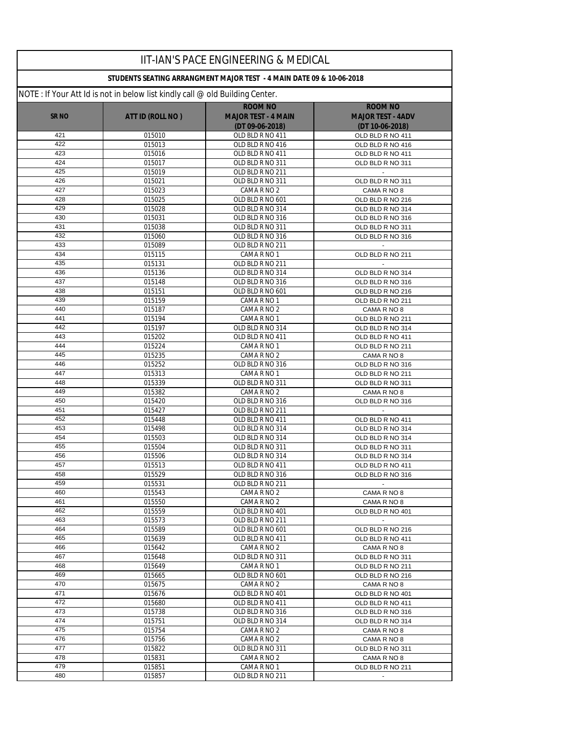|              |                                                                               | IIT-IAN'S PACE ENGINEERING & MEDICAL                                 |                                      |
|--------------|-------------------------------------------------------------------------------|----------------------------------------------------------------------|--------------------------------------|
|              |                                                                               | STUDENTS SEATING ARRANGMENT MAJOR TEST - 4 MAIN DATE 09 & 10-06-2018 |                                      |
|              | NOTE : If Your Att Id is not in below list kindly call @ old Building Center. |                                                                      |                                      |
|              |                                                                               | <b>ROOM NO</b>                                                       | <b>ROOM NO</b>                       |
| <b>SR NO</b> | ATT ID (ROLL NO)                                                              | <b>MAJOR TEST - 4 MAIN</b>                                           | <b>MAJOR TEST - 4ADV</b>             |
|              |                                                                               | (DT 09-06-2018)                                                      | (DT 10-06-2018)                      |
| 421<br>422   | 015010                                                                        | OLD BLD R NO 411                                                     | OLD BLD R NO 411                     |
| 423          | 015013<br>015016                                                              | OLD BLD R NO 416<br>OLD BLD R NO 411                                 | OLD BLD R NO 416<br>OLD BLD R NO 411 |
| 424          | 015017                                                                        | OLD BLD R NO 311                                                     | OLD BLD R NO 311                     |
| 425          | 015019                                                                        | OLD BLD R NO 211                                                     | $\sim$                               |
| 426          | 015021                                                                        | OLD BLD R NO 311                                                     | OLD BLD R NO 311                     |
| 427          | 015023                                                                        | CAMA R NO 2                                                          | CAMA R NO 8                          |
| 428          | 015025                                                                        | OLD BLD R NO 601                                                     | OLD BLD R NO 216                     |
| 429          | 015028                                                                        | OLD BLD R NO 314                                                     | OLD BLD R NO 314                     |
| 430          | 015031                                                                        | OLD BLD R NO 316                                                     | OLD BLD R NO 316                     |
| 431          | 015038                                                                        | OLD BLD R NO 311                                                     | OLD BLD R NO 311                     |
| 432<br>433   | 015060                                                                        | OLD BLD R NO 316                                                     | OLD BLD R NO 316                     |
| 434          | 015089<br>015115                                                              | OLD BLD R NO 211<br>CAMA R NO 1                                      | OLD BLD R NO 211                     |
| 435          | 015131                                                                        | OLD BLD R NO 211                                                     |                                      |
| 436          | 015136                                                                        | OLD BLD R NO 314                                                     | OLD BLD R NO 314                     |
| 437          | 015148                                                                        | OLD BLD R NO 316                                                     | OLD BLD R NO 316                     |
| 438          | 015151                                                                        | OLD BLD R NO 601                                                     | OLD BLD R NO 216                     |
| 439          | 015159                                                                        | CAMA R NO 1                                                          | OLD BLD R NO 211                     |
| 440          | 015187                                                                        | CAMA R NO 2                                                          | CAMA R NO 8                          |
| 441          | 015194                                                                        | CAMA R NO 1                                                          | OLD BLD R NO 211                     |
| 442          | 015197                                                                        | OLD BLD R NO 314                                                     | OLD BLD R NO 314                     |
| 443<br>444   | 015202                                                                        | OLD BLD R NO 411                                                     | OLD BLD R NO 411                     |
| 445          | 015224<br>015235                                                              | CAMA R NO 1<br>CAMA R NO 2                                           | OLD BLD R NO 211<br>CAMA R NO 8      |
| 446          | 015252                                                                        | OLD BLD R NO 316                                                     | OLD BLD R NO 316                     |
| 447          | 015313                                                                        | CAMA R NO 1                                                          | OLD BLD R NO 211                     |
| 448          | 015339                                                                        | OLD BLD R NO 311                                                     | OLD BLD R NO 311                     |
| 449          | 015382                                                                        | CAMA R NO 2                                                          | CAMA R NO 8                          |
| 450          | 015420                                                                        | OLD BLD R NO 316                                                     | OLD BLD R NO 316                     |
| 451          | 015427                                                                        | OLD BLD R NO 211                                                     |                                      |
| 452          | 015448                                                                        | OLD BLD R NO 411                                                     | OLD BLD R NO 411                     |
| 453<br>454   | 015498                                                                        | OLD BLD R NO 314<br>OLD BLD R NO 314                                 | OLD BLD R NO 314<br>OLD BLD R NO 314 |
| 455          | 015503<br>015504                                                              | OLD BLD R NO 311                                                     | OLD BLD R NO 311                     |
| 456          | 015506                                                                        | OLD BLD R NO 314                                                     | OLD BLD R NO 314                     |
| 457          | 015513                                                                        | OLD BLD R NO 411                                                     | OLD BLD R NO 411                     |
| 458          | 015529                                                                        | OLD BLD R NO 316                                                     | OLD BLD R NO 316                     |
| 459          | 015531                                                                        | OLD BLD R NO 211                                                     | $\sim$                               |
| 460          | 015543                                                                        | CAMA R NO 2                                                          | CAMA R NO 8                          |
| 461          | 015550                                                                        | CAMA R NO 2                                                          | CAMA R NO 8                          |
| 462          | 015559                                                                        | OLD BLD R NO 401                                                     | OLD BLD R NO 401                     |
| 463          | 015573                                                                        | OLD BLD R NO 211                                                     |                                      |
| 464<br>465   | 015589<br>015639                                                              | OLD BLD R NO 601<br>OLD BLD R NO 411                                 | OLD BLD R NO 216<br>OLD BLD R NO 411 |
| 466          | 015642                                                                        | CAMA R NO 2                                                          | CAMA R NO 8                          |
| 467          | 015648                                                                        | OLD BLD R NO 311                                                     | OLD BLD R NO 311                     |
| 468          | 015649                                                                        | CAMA R NO 1                                                          | OLD BLD R NO 211                     |
| 469          | 015665                                                                        | OLD BLD R NO 601                                                     | OLD BLD R NO 216                     |
| 470          | 015675                                                                        | CAMA R NO 2                                                          | CAMA R NO 8                          |
| 471          | 015676                                                                        | OLD BLD R NO 401                                                     | OLD BLD R NO 401                     |
| 472          | 015680                                                                        | OLD BLD R NO 411                                                     | OLD BLD R NO 411                     |
| 473          | 015738                                                                        | OLD BLD R NO 316                                                     | OLD BLD R NO 316                     |
| 474<br>475   | 015751                                                                        | OLD BLD R NO 314                                                     | OLD BLD R NO 314                     |
| 476          | 015754<br>015756                                                              | CAMA R NO 2<br>CAMA R NO 2                                           | CAMA R NO 8<br>CAMA R NO 8           |
| 477          | 015822                                                                        | OLD BLD R NO 311                                                     | OLD BLD R NO 311                     |
| 478          | 015831                                                                        | CAMA R NO 2                                                          | CAMA R NO 8                          |
| 479          | 015851                                                                        | CAMA R NO 1                                                          | OLD BLD R NO 211                     |
| 480          | 015857                                                                        | OLD BLD R NO 211                                                     |                                      |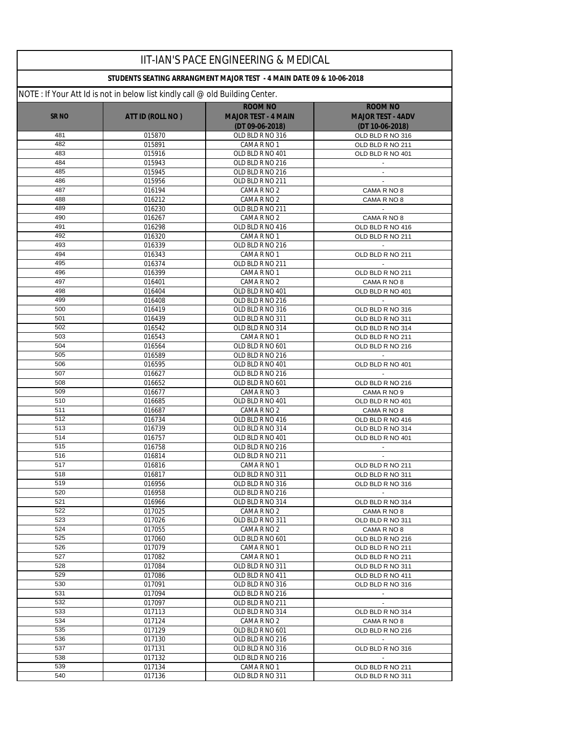|                  |                                                                               | IIT-IAN'S PACE ENGINEERING & MEDICAL                                 |                                      |
|------------------|-------------------------------------------------------------------------------|----------------------------------------------------------------------|--------------------------------------|
|                  |                                                                               | STUDENTS SEATING ARRANGMENT MAJOR TEST - 4 MAIN DATE 09 & 10-06-2018 |                                      |
|                  | NOTE : If Your Att Id is not in below list kindly call @ old Building Center. |                                                                      |                                      |
|                  |                                                                               | <b>ROOM NO</b>                                                       | <b>ROOM NO</b>                       |
| <b>SRNO</b>      | ATT ID (ROLL NO)                                                              | <b>MAJOR TEST - 4 MAIN</b>                                           | <b>MAJOR TEST - 4ADV</b>             |
|                  |                                                                               | (DT 09-06-2018)                                                      | (DT 10-06-2018)                      |
| 481<br>482       | 015870                                                                        | OLD BLD R NO 316                                                     | OLD BLD R NO 316                     |
| 483              | 015891<br>015916                                                              | CAMA R NO 1<br>OLD BLD R NO 401                                      | OLD BLD R NO 211<br>OLD BLD R NO 401 |
| 484              | 015943                                                                        | OLD BLD R NO 216                                                     |                                      |
| 485              | 015945                                                                        | OLD BLD R NO 216                                                     | $\mathcal{L}_{\mathcal{A}}$          |
| 486              | 015956                                                                        | OLD BLD R NO 211                                                     |                                      |
| 487              | 016194                                                                        | CAMA R NO 2                                                          | CAMA R NO 8                          |
| 488              | 016212                                                                        | CAMA R NO 2                                                          | CAMA R NO 8                          |
| 489              | 016230                                                                        | OLD BLD R NO 211                                                     |                                      |
| 490              | 016267                                                                        | CAMA R NO 2                                                          | CAMA R NO 8                          |
| 491              | 016298                                                                        | OLD BLD R NO 416                                                     | OLD BLD R NO 416                     |
| 492<br>493       | 016320                                                                        | CAMA R NO 1                                                          | OLD BLD R NO 211                     |
| 494              | 016339<br>016343                                                              | OLD BLD R NO 216<br>CAMA R NO 1                                      | OLD BLD R NO 211                     |
| 495              | 016374                                                                        | OLD BLD R NO 211                                                     | $\mathcal{L}^{\mathcal{A}}$          |
| 496              | 016399                                                                        | CAMA R NO 1                                                          | OLD BLD R NO 211                     |
| 497              | 016401                                                                        | CAMA R NO 2                                                          | CAMA R NO 8                          |
| 498              | 016404                                                                        | OLD BLD R NO 401                                                     | OLD BLD R NO 401                     |
| 499              | 016408                                                                        | OLD BLD R NO 216                                                     | $\sim$                               |
| 500              | 016419                                                                        | OLD BLD R NO 316                                                     | OLD BLD R NO 316                     |
| 501              | 016439                                                                        | OLD BLD R NO 311                                                     | OLD BLD R NO 311                     |
| 502              | 016542                                                                        | OLD BLD R NO 314                                                     | OLD BLD R NO 314                     |
| 503              | 016543                                                                        | CAMA R NO 1                                                          | OLD BLD R NO 211                     |
| 504<br>505       | 016564<br>016589                                                              | OLD BLD R NO 601<br>OLD BLD R NO 216                                 | OLD BLD R NO 216                     |
| 506              | 016595                                                                        | OLD BLD R NO 401                                                     | OLD BLD R NO 401                     |
| 507              | 016627                                                                        | OLD BLD R NO 216                                                     |                                      |
| 508              | 016652                                                                        | OLD BLD R NO 601                                                     | OLD BLD R NO 216                     |
| 509              | 016677                                                                        | CAMA R NO 3                                                          | CAMA R NO 9                          |
| 510              | 016685                                                                        | OLD BLD R NO 401                                                     | OLD BLD R NO 401                     |
| 511              | 016687                                                                        | CAMA R NO 2                                                          | CAMA R NO 8                          |
| 512              | 016734                                                                        | OLD BLD R NO 416                                                     | OLD BLD R NO 416                     |
| 513              | 016739                                                                        | OLD BLD R NO 314                                                     | OLD BLD R NO 314                     |
| 514<br>515       | 016757<br>016758                                                              | OLD BLD R NO 401<br>OLD BLD R NO 216                                 | OLD BLD R NO 401                     |
| 516              | 016814                                                                        | OLD BLD R NO 211                                                     | $\overline{\phantom{a}}$             |
| $\overline{517}$ | 016816                                                                        | CAMA R NO 1                                                          | OLD BLD R NO 211                     |
| 518              | 016817                                                                        | OLD BLD R NO 311                                                     | OLD BLD R NO 311                     |
| 519              | 016956                                                                        | OLD BLD R NO 316                                                     | OLD BLD R NO 316                     |
| 520              | 016958                                                                        | OLD BLD R NO 216                                                     |                                      |
| 521              | 016966                                                                        | OLD BLD R NO 314                                                     | OLD BLD R NO 314                     |
| 522              | 017025                                                                        | CAMA R NO 2                                                          | CAMA R NO 8                          |
| 523              | 017026                                                                        | OLD BLD R NO 311                                                     | OLD BLD R NO 311                     |
| 524<br>525       | 017055                                                                        | CAMA R NO 2                                                          | CAMA R NO 8                          |
| 526              | 017060<br>017079                                                              | OLD BLD R NO 601<br>CAMA R NO 1                                      | OLD BLD R NO 216<br>OLD BLD R NO 211 |
| 527              | 017082                                                                        | CAMA R NO 1                                                          | OLD BLD R NO 211                     |
| 528              | 017084                                                                        | OLD BLD R NO 311                                                     | OLD BLD R NO 311                     |
| 529              | 017086                                                                        | OLD BLD R NO 411                                                     | OLD BLD R NO 411                     |
| 530              | 017091                                                                        | OLD BLD R NO 316                                                     | OLD BLD R NO 316                     |
| 531              | 017094                                                                        | OLD BLD R NO 216                                                     |                                      |
| 532              | 017097                                                                        | OLD BLD R NO 211                                                     | $\sim$                               |
| 533              | 017113                                                                        | OLD BLD R NO 314                                                     | OLD BLD R NO 314                     |
| 534              | 017124                                                                        | CAMA R NO 2                                                          | CAMA R NO 8                          |
| 535<br>536       | 017129                                                                        | OLD BLD R NO 601                                                     | OLD BLD R NO 216<br>$\sim$           |
| 537              | 017130<br>017131                                                              | OLD BLD R NO 216<br>OLD BLD R NO 316                                 | OLD BLD R NO 316                     |
| 538              | 017132                                                                        | OLD BLD R NO 216                                                     | $\sim$                               |
| 539              | 017134                                                                        | CAMA R NO 1                                                          | OLD BLD R NO 211                     |
| 540              | 017136                                                                        | OLD BLD R NO 311                                                     | OLD BLD R NO 311                     |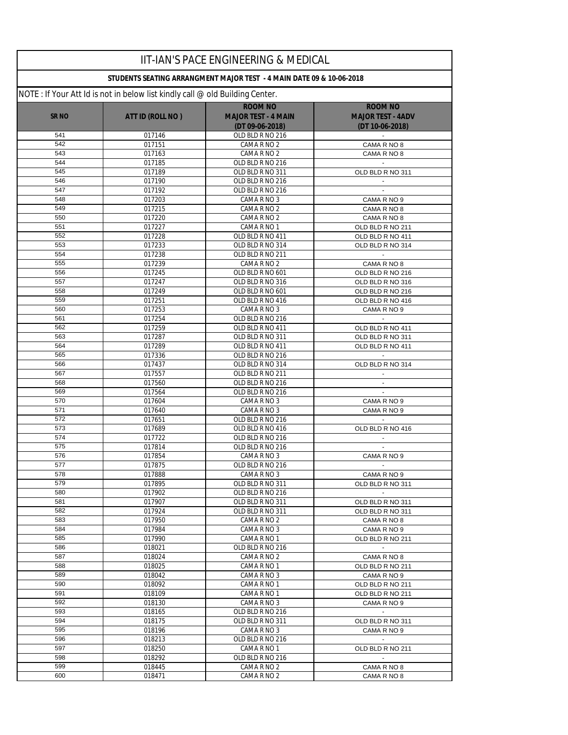|              |                                                                               | <b>IIT-IAN'S PACE ENGINEERING &amp; MEDICAL</b>                      |                                      |
|--------------|-------------------------------------------------------------------------------|----------------------------------------------------------------------|--------------------------------------|
|              |                                                                               | STUDENTS SEATING ARRANGMENT MAJOR TEST - 4 MAIN DATE 09 & 10-06-2018 |                                      |
|              | NOTE : If Your Att Id is not in below list kindly call @ old Building Center. |                                                                      |                                      |
|              |                                                                               | <b>ROOM NO</b>                                                       | <b>ROOM NO</b>                       |
| <b>SR NO</b> | ATT ID (ROLL NO)                                                              | <b>MAJOR TEST - 4 MAIN</b>                                           | <b>MAJOR TEST - 4ADV</b>             |
| 541          | 017146                                                                        | (DT 09-06-2018)<br>OLD BLD R NO 216                                  | (DT 10-06-2018)                      |
| 542          | 017151                                                                        | CAMA R NO 2                                                          | CAMA R NO 8                          |
| 543          | 017163                                                                        | CAMA R NO 2                                                          | CAMA R NO 8                          |
| 544          | 017185                                                                        | OLD BLD R NO 216                                                     |                                      |
| 545          | 017189                                                                        | OLD BLD R NO 311                                                     | OLD BLD R NO 311                     |
| 546          | 017190                                                                        | OLD BLD R NO 216                                                     | $\mathcal{L}_{\mathcal{A}}$          |
| 547          | 017192                                                                        | OLD BLD R NO 216                                                     |                                      |
| 548          | 017203                                                                        | CAMA R NO 3                                                          | CAMA R NO 9                          |
| 549          | 017215                                                                        | CAMA R NO 2                                                          | CAMA R NO 8                          |
| 550<br>551   | 017220<br>017227                                                              | CAMA R NO 2<br>CAMA R NO 1                                           | CAMA R NO 8                          |
| 552          | 017228                                                                        | OLD BLD R NO 411                                                     | OLD BLD R NO 211<br>OLD BLD R NO 411 |
| 553          | 017233                                                                        | OLD BLD R NO 314                                                     | OLD BLD R NO 314                     |
| 554          | 017238                                                                        | OLD BLD R NO 211                                                     |                                      |
| 555          | 017239                                                                        | CAMA R NO 2                                                          | CAMA R NO 8                          |
| 556          | 017245                                                                        | OLD BLD R NO 601                                                     | OLD BLD R NO 216                     |
| 557          | 017247                                                                        | OLD BLD R NO 316                                                     | OLD BLD R NO 316                     |
| 558          | 017249                                                                        | OLD BLD R NO 601                                                     | OLD BLD R NO 216                     |
| 559          | 017251                                                                        | OLD BLD R NO 416                                                     | OLD BLD R NO 416                     |
| 560          | 017253                                                                        | CAMA R NO 3                                                          | CAMA R NO 9                          |
| 561<br>562   | 017254                                                                        | OLD BLD R NO 216                                                     |                                      |
| 563          | 017259<br>017287                                                              | OLD BLD R NO 411<br>OLD BLD R NO 311                                 | OLD BLD R NO 411<br>OLD BLD R NO 311 |
| 564          | 017289                                                                        | OLD BLD R NO 411                                                     | OLD BLD R NO 411                     |
| 565          | 017336                                                                        | OLD BLD R NO 216                                                     |                                      |
| 566          | 017437                                                                        | OLD BLD R NO 314                                                     | OLD BLD R NO 314                     |
| 567          | 017557                                                                        | OLD BLD R NO 211                                                     |                                      |
| 568          | 017560                                                                        | OLD BLD R NO 216                                                     |                                      |
| 569          | 017564                                                                        | OLD BLD R NO 216                                                     | $\mathcal{L}_{\mathcal{A}}$          |
| 570          | 017604                                                                        | CAMA R NO 3                                                          | CAMA R NO 9                          |
| 571          | 017640                                                                        | CAMA R NO 3                                                          | CAMA R NO 9                          |
| 572<br>573   | 017651                                                                        | OLD BLD R NO 216                                                     |                                      |
| 574          | 017689<br>017722                                                              | OLD BLD R NO 416<br>OLD BLD R NO 216                                 | OLD BLD R NO 416                     |
| 575          | 017814                                                                        | OLD BLD R NO 216                                                     |                                      |
| 576          | 017854                                                                        | CAMA R NO 3                                                          | CAMA R NO 9                          |
| 577          | 017875                                                                        | OLD BLD R NO 216                                                     |                                      |
| 578          | 017888                                                                        | CAMA R NO 3                                                          | CAMA R NO 9                          |
| 579          | 017895                                                                        | OLD BLD R NO 311                                                     | OLD BLD R NO 311                     |
| 580          | 017902                                                                        | OLD BLD R NO 216                                                     | $\sim$                               |
| 581          | 017907                                                                        | OLD BLD R NO 311                                                     | OLD BLD R NO 311                     |
| 582<br>583   | 017924<br>017950                                                              | OLD BLD R NO 311                                                     | OLD BLD R NO 311                     |
| 584          | 017984                                                                        | CAMA R NO 2<br>CAMA R NO 3                                           | CAMA R NO 8<br>CAMA R NO 9           |
| 585          | 017990                                                                        | CAMA R NO 1                                                          | OLD BLD R NO 211                     |
| 586          | 018021                                                                        | OLD BLD R NO 216                                                     | $\sim$ $-$                           |
| 587          | 018024                                                                        | CAMA R NO 2                                                          | CAMA R NO 8                          |
| 588          | 018025                                                                        | CAMA R NO 1                                                          | OLD BLD R NO 211                     |
| 589          | 018042                                                                        | CAMA R NO 3                                                          | CAMA R NO 9                          |
| 590          | 018092                                                                        | CAMA R NO 1                                                          | OLD BLD R NO 211                     |
| 591          | 018109                                                                        | CAMA R NO 1                                                          | OLD BLD R NO 211                     |
| 592          | 018130                                                                        | CAMA R NO 3                                                          | CAMA R NO 9                          |
| 593<br>594   | 018165<br>018175                                                              | OLD BLD R NO 216<br>OLD BLD R NO 311                                 | $\sim$ $-$                           |
| 595          | 018196                                                                        | CAMA R NO 3                                                          | OLD BLD R NO 311<br>CAMA R NO 9      |
| 596          | 018213                                                                        | OLD BLD R NO 216                                                     |                                      |
| 597          | 018250                                                                        | CAMA R NO 1                                                          | OLD BLD R NO 211                     |
| 598          | 018292                                                                        | OLD BLD R NO 216                                                     |                                      |
| 599          | 018445                                                                        | CAMA R NO 2                                                          | CAMA R NO 8                          |
| 600          | 018471                                                                        | CAMA R NO 2                                                          | CAMA R NO 8                          |